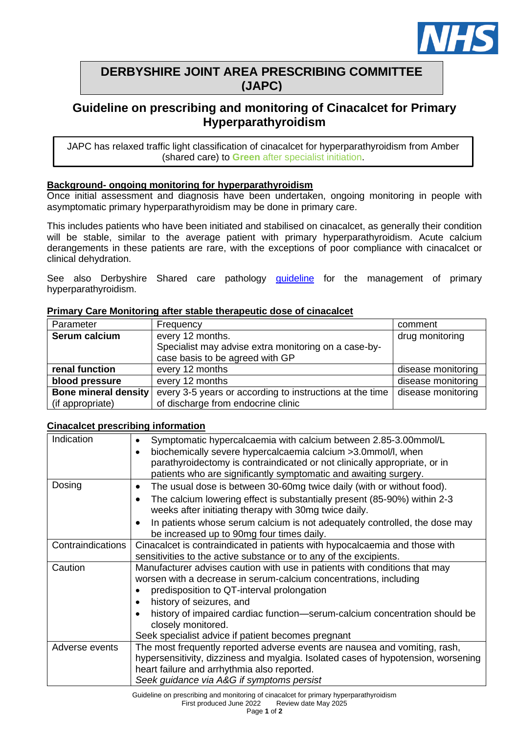

## **DERBYSHIRE JOINT AREA PRESCRIBING COMMITTEE (JAPC)**

# **Guideline on prescribing and monitoring of Cinacalcet for Primary Hyperparathyroidism**

JAPC has relaxed traffic light classification of cinacalcet for hyperparathyroidism from Amber (shared care) to **Green** after specialist initiation.

## **Background- ongoing monitoring for hyperparathyroidism**

Once initial assessment and diagnosis have been undertaken, ongoing monitoring in people with asymptomatic primary hyperparathyroidism may be done in primary care.

This includes patients who have been initiated and stabilised on cinacalcet, as generally their condition will be stable, similar to the average patient with primary hyperparathyroidism. Acute calcium derangements in these patients are rare, with the exceptions of poor compliance with cinacalcet or clinical dehydration.

See also Derbyshire Shared care pathology quideline for the management of primary hyperparathyroidism.

| Parameter            | Frequency                                                                               | comment            |
|----------------------|-----------------------------------------------------------------------------------------|--------------------|
| Serum calcium        | every 12 months.                                                                        | drug monitoring    |
|                      | Specialist may advise extra monitoring on a case-by-<br>case basis to be agreed with GP |                    |
|                      |                                                                                         |                    |
| renal function       | every 12 months                                                                         | disease monitoring |
| blood pressure       | every 12 months                                                                         | disease monitoring |
| Bone mineral density | every 3-5 years or according to instructions at the time                                | disease monitoring |
| (if appropriate)     | of discharge from endocrine clinic                                                      |                    |

#### **Primary Care Monitoring after stable therapeutic dose of cinacalcet**

#### **Cinacalcet prescribing information**

| Indication        | Symptomatic hypercalcaemia with calcium between 2.85-3.00mmol/L<br>$\bullet$          |
|-------------------|---------------------------------------------------------------------------------------|
|                   | biochemically severe hypercalcaemia calcium >3.0mmol/l, when<br>$\bullet$             |
|                   | parathyroidectomy is contraindicated or not clinically appropriate, or in             |
|                   | patients who are significantly symptomatic and awaiting surgery.                      |
| Dosing            | The usual dose is between 30-60mg twice daily (with or without food).<br>٠            |
|                   | The calcium lowering effect is substantially present (85-90%) within 2-3<br>$\bullet$ |
|                   | weeks after initiating therapy with 30mg twice daily.                                 |
|                   | In patients whose serum calcium is not adequately controlled, the dose may<br>٠       |
|                   | be increased up to 90mg four times daily.                                             |
| Contraindications | Cinacalcet is contraindicated in patients with hypocalcaemia and those with           |
|                   | sensitivities to the active substance or to any of the excipients.                    |
| Caution           | Manufacturer advises caution with use in patients with conditions that may            |
|                   | worsen with a decrease in serum-calcium concentrations, including                     |
|                   | predisposition to QT-interval prolongation                                            |
|                   | history of seizures, and<br>$\bullet$                                                 |
|                   | history of impaired cardiac function-serum-calcium concentration should be            |
|                   | closely monitored.                                                                    |
|                   | Seek specialist advice if patient becomes pregnant                                    |
| Adverse events    | The most frequently reported adverse events are nausea and vomiting, rash,            |
|                   | hypersensitivity, dizziness and myalgia. Isolated cases of hypotension, worsening     |
|                   | heart failure and arrhythmia also reported.                                           |
|                   | Seek guidance via A&G if symptoms persist                                             |